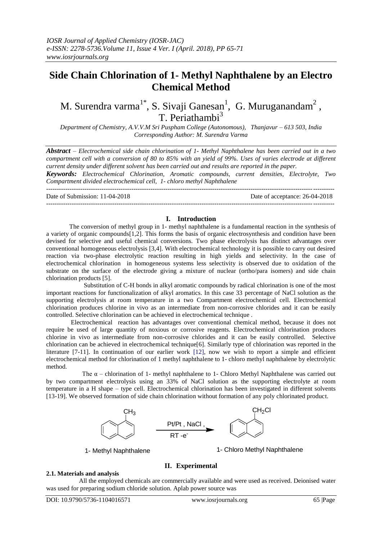# **Side Chain Chlorination of 1- Methyl Naphthalene by an Electro Chemical Method**

# M. Surendra varma<sup>1\*</sup>, S. Sivaji Ganesan<sup>1</sup>, G. Muruganandam<sup>2</sup>, T. Periathambi<sup>3</sup>

*Department of Chemistry, A.V.V.M Sri Puspham College (Autonomous), Thanjavur – 613 503, India Corresponding Author: M. Surendra Varma*

*Abstract – Electrochemical side chain chlorination of 1- Methyl Naphthalene has been carried out in a two compartment cell with a conversion of 80 to 85% with an yield of 99%. Uses of varies electrode at different current density under different solvent has been carried out and results are reported in the paper.*

*Keywords: Electrochemical Chlorination, Aromatic compounds, current densities, Electrolyte, Two Compartment divided electrochemical cell, 1- chloro methyl Naphthalene*

Date of Submission: 11-04-2018 Date of acceptance: 26-04-2018

## ---------------------------------------------------------------------------------------------------------------------------------------

#### **I. Introduction**

The conversion of methyl group in 1- methyl naphthalene is a fundamental reaction in the synthesis of a variety of organic compounds[1,2]. This forms the basis of organic electrosynthesis and condition have been devised for selective and useful chemical conversions. Two phase electrolysis has distinct advantages over conventional homogeneous electrolysis [3,4]. With electrochemical technology it is possible to carry out desired reaction via two-phase electrolytic reaction resulting in high yields and selectivity. In the case of electrochemical chlorination in homogeneous systems less selectivity is observed due to oxidation of the substrate on the surface of the electrode giving a mixture of nuclear (ortho/para isomers) and side chain chlorination products [5].

 Substitution of C-H bonds in alkyl aromatic compounds by radical chlorination is one of the most important reactions for functionalization of alkyl aromatics. In this case 33 percentage of NaCl solution as the supporting electrolysis at room temperature in a two Compartment electrochemical cell. Electrochemical chlorination produces chlorine in vivo as an intermediate from non-corrosive chlorides and it can be easily controlled. Selective chlorination can be achieved in electrochemical technique .

Electrochemical reaction has advantages over conventional chemical method, because it does not require be used of large quantity of noxious or corrosive reagents. Electrochemical chlorination produces chlorine in vivo as intermediate from non-corrosive chlorides and it can be easily controlled. Selective chlorination can be achieved in electrochemical technique[6]. Similarly type of chlorination was reported in the literature [7-11]. In continuation of our earlier work [12], now we wish to report a simple and efficient electrochemical method for chlorination of 1 methyl naphthalene to 1- chloro methyl naphthalene by electrolytic method.

The  $\alpha$  – chlorination of 1- methyl naphthalene to 1- Chloro Methyl Naphthalene was carried out by two compartment electrolysis using an 33% of NaCl solution as the supporting electrolyte at room temperature in a H shape – type cell. Electrochemical chlorination has been investigated in different solvents [13-19]. We observed formation of side chain chlorination without formation of any poly chlorinated product.



1- Methyl Naphthalene 1- Chloro Methyl Naphthalene

# **II. Experimental**

# **2.1. Materials and analysis**

 All the employed chemicals are commercially available and were used as received. Deionised water was used for preparing sodium chloride solution. Aplab power source was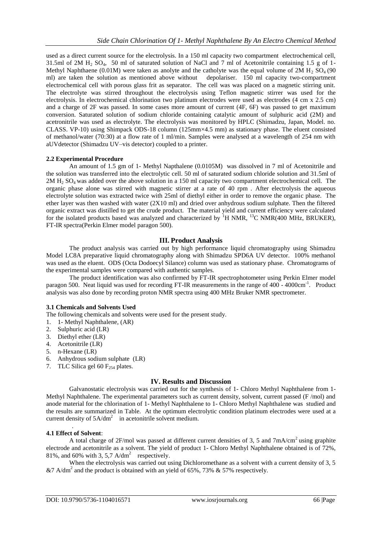used as a direct current source for the electrolysis. In a 150 ml capacity two compartment electrochemical cell, 31.5ml of 2M H<sub>2</sub> SO<sub>4</sub>, 50 ml of saturated solution of NaCl and 7 ml of Acetonitrile containing 1.5 g of 1-Methyl Naphthaene (0.01M) were taken as anolyte and the catholyte was the equal volume of 2M H<sub>2</sub> SO<sub>4</sub> (90) ml) are taken the solution as mentioned above without depolariser. 150 ml capacity two-compartment electrochemical cell with porous glass frit as separator. The cell was was placed on a magnetic stirring unit. The electrolyte was stirred throughout the electrolysis using Teflon magnetic stirrer was used for the electrolysis. In electrochemical chlorination two platinum electrodes were used as electrodes (4 cm x 2.5 cm) and a charge of 2F was passed. In some cases more amount of current (4F, 6F) was passed to get maximum conversion. Saturated solution of sodium chloride containing catalytic amount of sulphuric acid (2M) and acetronitrile was used as electrolyte. The electrolysis was monitored by HPLC (Shimadzu, Japan, Model. no. CLASS. VP-10) using Shimpack ODS-18 column (125mm×4.5 mm) as stationary phase. The eluent consisted of methanol/water (70:30) at a flow rate of 1 ml/min. Samples were analysed at a wavelength of 254 nm with aUVdetector (Shimadzu UV–vis detector) coupled to a printer.

#### **2.2 Experimental Procedure**

An amount of 1.5 gm of 1- Methyl Napthalene (0.0105M) was dissolved in 7 ml of Acetonitrile and the solution was transferred into the electrolytic cell. 50 ml of saturated sodium chloride solution and 31.5ml of  $2M H<sub>2</sub> SO<sub>4</sub>$  was added over the above solution in a 150 ml capacity two compartment electrochemical cell. The organic phase alone was stirred with magnetic stirrer at a rate of 40 rpm . After electrolysis the aqueous electrolyte solution was extracted twice with 25ml of diethyl either in order to remove the organic phase. The ether layer was then washed with water  $(2X10 \text{ ml})$  and dried over anhydrous sodium sulphate. Then the filtered organic extract was distilled to get the crude product. The material yield and current efficiency were calculated for the isolated products based was analyzed and characterized by  ${}^{1}$ H NMR,  ${}^{13}$ C NMR(400 MHz, BRUKER), FT-IR spectra(Perkin Elmer model paragon 500).

#### **III. Product Analysis**

The product analysis was carried out by high performance liquid chromatography using Shimadzu Model LC8A preparative liquid chromatography along with Shimadzu SPD6A UV detector. 100% methanol was used as the eluent. ODS (Octa Dodoecyl Silance) column was used as stationary phase. Chromatograms of the experimental samples were compared with authentic samples.

The product identification was also confirmed by FT-IR spectrophotometer using Perkin Elmer model paragon 500. Neat liquid was used for recording FT-IR measurements in the range of 400 - 4000cm<sup>-1</sup>. Product analysis was also done by recording proton NMR spectra using 400 MHz Bruker NMR spectrometer.

#### **3.1 Chemicals and Solvents Used**

The following chemicals and solvents were used for the present study.

- 1. 1- Methyl Naphthalene, (AR)
- 2. Sulphuric acid (LR)
- 3. Diethyl ether (LR)
- 4. Acetonitrile (LR)
- 5. n-Hexane (LR)
- 6. Anhydrous sodium sulphate (LR)
- 7. TLC Silica gel 60  $F<sub>254</sub>$  plates.

#### **IV. Results and Discussion**

Galvanostatic electrolysis was carried out for the synthesis of 1- Chloro Methyl Naphthalene from 1- Methyl Naphthalene. The experimental parameters such as current density, solvent, current passed (F /mol) and anode material for the chlorination of 1- Methyl Naphthalene to 1- Chloro Methyl Naphthalene was studied and the results are summarized in Table. At the optimum electrolytic condition platinum electrodes were used at a current density of  $5A/dm^2$  in acetonitrile solvent medium.

#### **4.1 Effect of Solvent**:

.

A total charge of 2F/mol was passed at different current densities of 3, 5 and  $7 \text{mA/cm}^2$  using graphite electrode and acetonitrile as a solvent. The yield of product 1- Chloro Methyl Naphthalene obtained is of 72%, 81%, and 60% with 3, 5,7  $A/dm^2$  respectively.

When the electrolysis was carried out using Dichloromethane as a solvent with a current density of 3, 5 &7 A/dm<sup>2</sup> and the product is obtained with an yield of 65%, 73% & 57% respectively.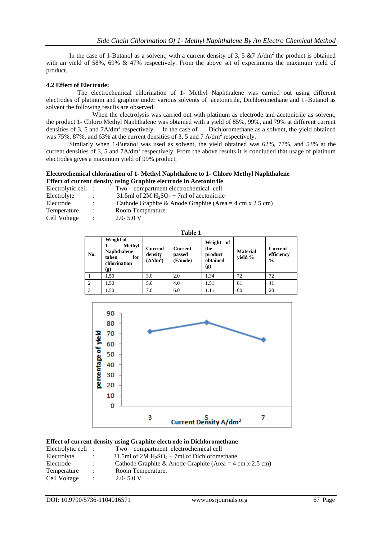In the case of 1-Butanol as a solvent, with a current density of 3, 5  $\&$  7 A/dm<sup>2</sup> the product is obtained with an yield of 58%, 69% & 47% respectively. From the above set of experiments the maximum yield of product.

## **4.2 Effect of Electrode:**

The electrochemical chlorination of 1- Methyl Naphthalene was carried out using different electrodes of platinum and graphite under various solvents of acetonitrile, Dichloromethane and 1–Butanol as solvent the following results are observed.

When the electrolysis was carried out with platinum as electrode and acetonitrile as solvent, the product 1- Chloro Methyl Naphthalene was obtained with a yield of 85%, 99%, and 79% at different current densities of 3, 5 and  $7A/dm^2$  respectively. In the case of Dichloromethane as a solvent, the yield obtained was 75%, 87%, and 63% at the current densities of 3, 5 and 7 A/dm<sup>2</sup> respectively.

Similarly when 1-Butanol was used as solvent, the yield obtained was 62%, 77%, and 53% at the current densities of 3, 5 and  $7A/dm^2$  respectively. From the above results it is concluded that usage of platinum electrodes gives a maximum yield of 99% product.

## **Electrochemical chlorination of 1- Methyl Naphthalene to 1- Chloro Methyl Naphthalene Effect of current density using Graphite electrode in Acetonitrile**

| Electrolytic cell: |                | Two – compartment electrochemical cell                                           |
|--------------------|----------------|----------------------------------------------------------------------------------|
| Electrolyte        |                | 31.5ml of 2M $H_2SO_4$ + 7ml of acetonitrile                                     |
| Electrode          | $\mathcal{I}$  | Cathode Graphite & Anode Graphite (Area = $4 \text{ cm} \times 2.5 \text{ cm}$ ) |
| Temperature        | $\mathbb{R}^n$ | Room Temperature.                                                                |
| Cell Voltage       | $\mathbb{R}^n$ | $2.0 - 5.0 V$                                                                    |
|                    |                |                                                                                  |

| ۰, |  |
|----|--|
|    |  |

| No.            | Weight of<br>Methyl<br>1-<br><b>Naphthalene</b><br>taken<br>for<br>chlorination<br>(g) | <b>Current</b><br>density<br>$(A/dm^2)$ | <b>Current</b><br>passed<br>(F/mole) | Weight of<br>the<br>product<br>obtained<br>(g) | <b>Material</b><br>vield % | <b>Current</b><br>efficiency<br>$\frac{0}{0}$ |
|----------------|----------------------------------------------------------------------------------------|-----------------------------------------|--------------------------------------|------------------------------------------------|----------------------------|-----------------------------------------------|
|                | 1.50                                                                                   | 3.0                                     | 2.0                                  | 1.34                                           | 72                         | 72                                            |
| $\overline{2}$ | 1.50                                                                                   | 5.0                                     | 4.0                                  | 1.51                                           | 81                         | 41                                            |
| 3              | 1.50                                                                                   | 7.0                                     | 6.0                                  | 1.11                                           | 60                         | 20                                            |



#### **Effect of current density using Graphite electrode in Dichloromethane**

| Electrolytic cell : |                   | Two – compartment electrochemical cell                                           |
|---------------------|-------------------|----------------------------------------------------------------------------------|
| Electrolyte         |                   | 31.5ml of $2M H_2SO_4 + 7ml$ of Dichloromethane                                  |
| Electrode           |                   | Cathode Graphite & Anode Graphite (Area = $4 \text{ cm} \times 2.5 \text{ cm}$ ) |
| Temperature         | $\mathcal{L}$     | Room Temperature.                                                                |
| Cell Voltage        | $\sim$ 100 $\sim$ | $2.0 - 5.0 V$                                                                    |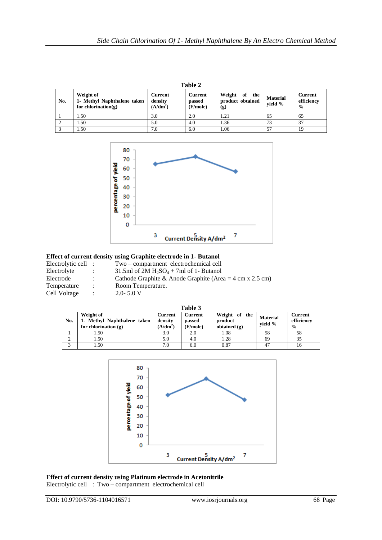|     | Table 2                                                             |                                  |                                      |                                             |                            |                                               |  |  |
|-----|---------------------------------------------------------------------|----------------------------------|--------------------------------------|---------------------------------------------|----------------------------|-----------------------------------------------|--|--|
| No. | Weight of<br>1- Methyl Naphthalene taken<br>for chlorination( $g$ ) | Current<br>density<br>$(A/dm^2)$ | <b>Current</b><br>passed<br>(F/mole) | Weight<br>of the<br>product obtained<br>(g) | <b>Material</b><br>vield % | <b>Current</b><br>efficiency<br>$\frac{0}{0}$ |  |  |
|     | 1.50                                                                | 3.0                              | 2.0                                  | 1.21                                        | 65                         | 65                                            |  |  |
|     | 1.50                                                                | 5.0                              | 4.0                                  | 1.36                                        | 73                         | 37                                            |  |  |
|     | 1.50                                                                | 7.0                              | 6.0                                  | 1.06                                        | 57                         | 19                                            |  |  |



#### **Effect of current density using Graphite electrode in 1- Butanol**  : Two – compartment electrochemical cell

| Electrolytic cell |
|-------------------|
| Electrolyte       |
| Electrode         |
| Temperature       |
| Cell Voltage      |

- : 31.5ml of  $2M H_2SO_4 + 7m$ l of 1- Butanol<br>Cathode Graphite & Anode Graphite (Are
- : Cathode Graphite & Anode Graphite (Area = 4 cm x 2.5 cm)<br>
Room Temperature.
- Room Temperature.
- 
- $2.0 5.0$  V

| anıe |  |
|------|--|
|      |  |

|     | ravit J                                                            |                                         |                               |                                            |                            |                                        |  |  |
|-----|--------------------------------------------------------------------|-----------------------------------------|-------------------------------|--------------------------------------------|----------------------------|----------------------------------------|--|--|
| No. | Weight of<br>1- Methyl Naphthalene taken<br>for chlorination $(g)$ | <b>Current</b><br>density<br>$(A/dm^2)$ | Current<br>passed<br>(F/mole) | Weight of the<br>product<br>obtained $(g)$ | <b>Material</b><br>vield % | Current<br>efficiency<br>$\frac{0}{0}$ |  |  |
|     | 1.50                                                               | 3.0                                     | 2.0                           | 1.08                                       | 58                         | 58                                     |  |  |
|     | 1.50                                                               | 5.0                                     | 4.0                           | 1.28                                       | 69                         |                                        |  |  |
|     | 1.50                                                               | 7.0                                     | 6.0                           | 0.87                                       | 47                         | 16                                     |  |  |



**Effect of current density using Platinum electrode in Acetonitrile**  Electrolytic cell : Two – compartment electrochemical cell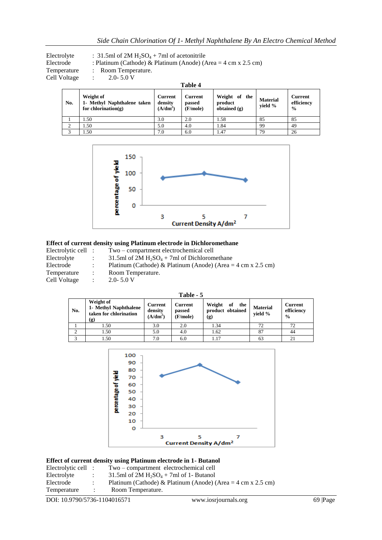Electrolyte : 31.5ml of 2M  $H_2SO_4$  + 7ml of acetonitrile<br>Electrode : Platinum (Cathode) & Platinum (Anode) (*A* : Platinum (Cathode) & Platinum (Anode) (Area =  $4 \text{ cm} \times 2.5 \text{ cm}$ ) Temperature : Room Temperature. Cell Voltage : 2.0- 5.0 V **Table 4**

| No. | Weight of<br>1- Methyl Naphthalene taken<br>for chlorination $(g)$ | Current<br>density<br>$(A/dm^2)$ | Current<br>passed<br>(F/mole) | Weight of the<br>product<br>obtained $(g)$ | <b>Material</b><br>vield % | <b>Current</b><br>efficiency<br>$\frac{0}{0}$ |
|-----|--------------------------------------------------------------------|----------------------------------|-------------------------------|--------------------------------------------|----------------------------|-----------------------------------------------|
|     | l.50                                                               | 3.0                              | 2.0                           | 1.58                                       | 85                         | 85                                            |
| ◠   | . .50                                                              | 5.0                              | 4.0                           | 1.84                                       | 99                         | 49                                            |
|     | .50                                                                | 7.0                              | 6.0                           | 1.47                                       | 79                         | 26                                            |



## **Effect of current density using Platinum electrode in Dichloromethane**

| Electrolytic cell : |                | Two – compartment electrochemical cell                                               |
|---------------------|----------------|--------------------------------------------------------------------------------------|
| Electrolyte         | $\mathbb{R}^n$ | 31.5ml of $2M H_2SO_4 + 7m$ l of Dichloromethane                                     |
| Electrode           |                | Platinum (Cathode) & Platinum (Anode) (Area = $4 \text{ cm} \times 2.5 \text{ cm}$ ) |
| Temperature         | $\mathcal{L}$  | Room Temperature.                                                                    |
| Cell Voltage        | $\mathcal{L}$  | $2.0 - 5.0 V$                                                                        |

| Table - 5 |                                                                     |                                  |                                      |                                             |                            |                                        |  |
|-----------|---------------------------------------------------------------------|----------------------------------|--------------------------------------|---------------------------------------------|----------------------------|----------------------------------------|--|
| No.       | Weight of<br>1- Methyl Naphthalene<br>taken for chlorination<br>(g) | Current<br>density<br>$(A/dm^2)$ | <b>Current</b><br>passed<br>(F/mole) | Weight<br>of the<br>product obtained<br>(g) | <b>Material</b><br>vield % | Current<br>efficiency<br>$\frac{0}{0}$ |  |
|           | 1.50                                                                | 3.0                              | 2.0                                  | 1.34                                        | 72.                        | 72                                     |  |
|           | 1.50                                                                | 5.0                              | 4.0                                  | 1.62                                        | 87                         | 44                                     |  |
|           | 1.50                                                                | 7.0                              | 6.0                                  | 1.17                                        | 63                         | 21                                     |  |



## **Effect of current density using Platinum electrode in 1- Butanol**

| Electrolytic cell : | Two – compartment electrochemical cell                                               |
|---------------------|--------------------------------------------------------------------------------------|
| Electrolyte         | 31.5ml of 2M $H_2SO_4 + 7ml$ of 1- Butanol                                           |
| Electrode           | Platinum (Cathode) & Platinum (Anode) (Area = $4 \text{ cm} \times 2.5 \text{ cm}$ ) |
| Temperature         | Room Temperature.                                                                    |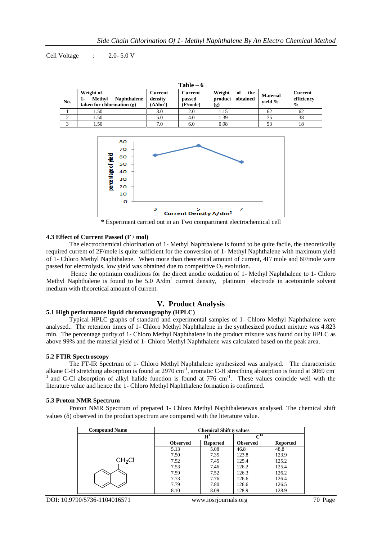Cell Voltage : 2.0- 5.0 V

| $Table - 6$ |                                                                           |                                            |                                      |                                                |                            |                                               |  |  |  |  |
|-------------|---------------------------------------------------------------------------|--------------------------------------------|--------------------------------------|------------------------------------------------|----------------------------|-----------------------------------------------|--|--|--|--|
| No.         | Weight of<br>Methyl<br><b>Naphthalene</b><br>taken for chlorination $(g)$ | Current<br>density<br>(A/dm <sup>2</sup> ) | <b>Current</b><br>passed<br>(F/mole) | Weight<br>of<br>the<br>product obtained<br>(g) | <b>Material</b><br>vield % | <b>Current</b><br>efficiency<br>$\frac{0}{0}$ |  |  |  |  |
|             | 1.50                                                                      | 3.0                                        | 2.0                                  | 1.15                                           | 62                         | 62                                            |  |  |  |  |
|             | 1.50                                                                      | 5.0                                        | 4.0                                  | 1.39                                           | 75                         | 38                                            |  |  |  |  |
|             | . 50                                                                      | 7.0                                        | 6.0                                  | 0.98                                           | 53                         | 18                                            |  |  |  |  |



\* Experiment carried out in an Two compartment electrochemical cell

#### **4.3 Effect of Current Passed (F / mol)**

The electrochemical chlorination of 1- Methyl Naphthalene is found to be quite facile, the theoretically required current of 2F/mole is quite sufficient for the conversion of 1- Methyl Naphthalene with maximum yield of 1- Chloro Methyl Naphthalene. When more than theoretical amount of current, 4F/ mole and 6F/mole were passed for electrolysis, low yield was obtained due to competitive  $O<sub>2</sub>$  evolution.

Hence the optimum conditions for the direct anodic oxidation of 1- Methyl Naphthalene to 1- Chloro Methyl Naphthalene is found to be 5.0 A/dm<sup>2</sup> current density, platinum electrode in acetonitrile solvent medium with theoretical amount of current.

# **V. Product Analysis**

# **5.1 High performance liquid chromatography (HPLC)**

Typical HPLC graphs of standard and experimental samples of 1- Chloro Methyl Naphthalene were analysed.. The retention times of 1- Chloro Methyl Naphthalene in the synthesized product mixture was 4.823 min. The percentage purity of 1- Chloro Methyl Naphthalene in the product mixture was found out by HPLC as above 99% and the material yield of 1- Chloro Methyl Naphthalene was calculated based on the peak area.

#### **5.2 FTIR Spectroscopy**

The FT-IR Spectrum of 1- Chloro Methyl Naphthalene synthesized was analysed. The characteristic alkane C-H stretching absorption is found at 2970 cm<sup>-1</sup>, aromatic C-H strecthing absorption is found at 3069 cm<sup>-1</sup>  $1$  and C-Cl absorption of alkyl halide function is found at 776 cm $^{-1}$ . These values coincide well with the literature value and hence the 1- Chloro Methyl Naphthalene formation is confirmed.

#### **5.3 Proton NMR Spectrum**

Proton NMR Spectrum of prepared 1- Chloro Methyl Naphthalenewas analysed. The chemical shift values  $(\delta)$  observed in the product spectrum are compared with the literature value.

| <b>Compound Name</b> | <b>Chemical Shift δ values</b> |                 |                   |                 |  |  |
|----------------------|--------------------------------|-----------------|-------------------|-----------------|--|--|
|                      |                                | $H^1$           | $\mathrm{C}^{13}$ |                 |  |  |
|                      | <b>Observed</b>                | <b>Reported</b> | <b>Observed</b>   | <b>Reported</b> |  |  |
|                      | 5.13                           | 5.08            | 46.8              | 48.8            |  |  |
|                      | 7.50                           | 7.35            | 123.8             | 123.9           |  |  |
| CH <sub>2</sub> Cl   | 7.52                           | 7.45            | 125.4             | 125.2           |  |  |
|                      | 7.53                           | 7.46            | 126.2             | 125.4           |  |  |
|                      | 7.59                           | 7.52            | 126.3             | 126.2           |  |  |
|                      | 7.73                           | 7.76            | 126.6             | 126.4           |  |  |
|                      | 7.79                           | 7.80            | 126.6             | 126.5           |  |  |
|                      | 8.10                           | 8.09            | 128.9             | 128.9           |  |  |